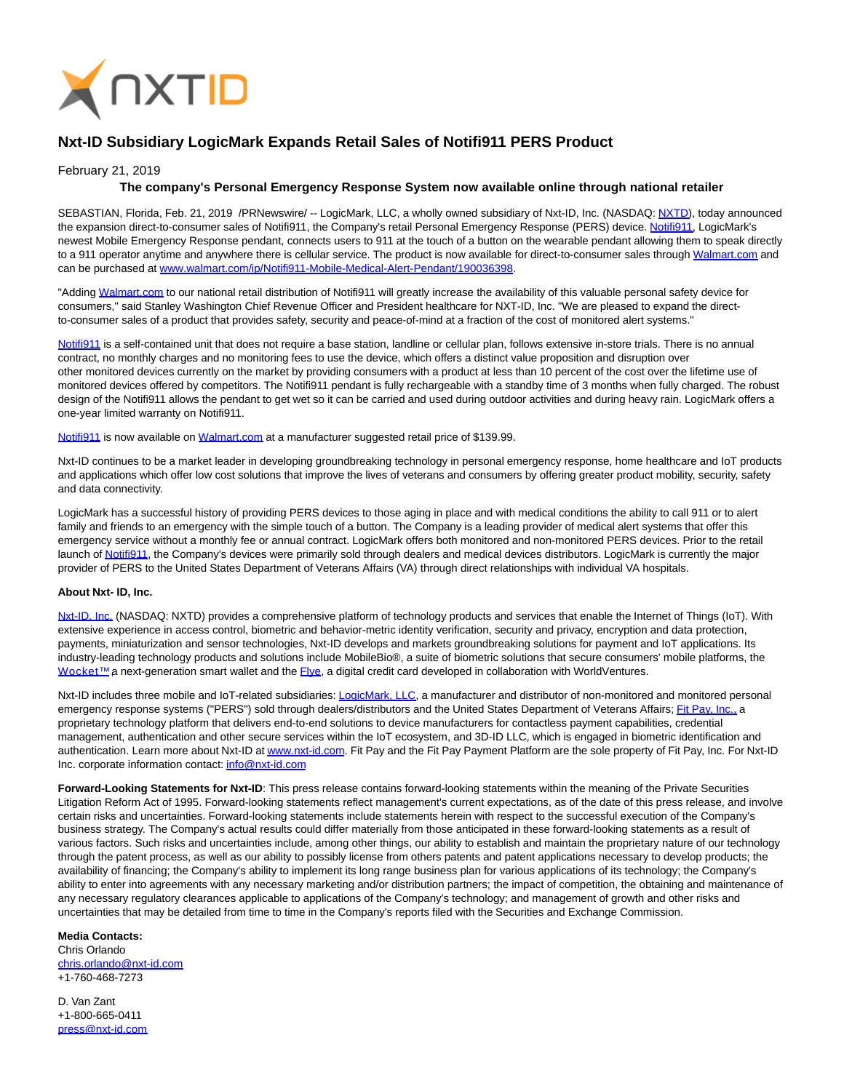

# **Nxt-ID Subsidiary LogicMark Expands Retail Sales of Notifi911 PERS Product**

### February 21, 2019

## **The company's Personal Emergency Response System now available online through national retailer**

SEBASTIAN, Florida, Feb. 21, 2019 /PRNewswire/ -- LogicMark, LLC, a wholly owned subsidiary of Nxt-ID, Inc. (NASDAQ: [NXTD\)](https://finance.yahoo.com/q?s=nxtd), today announced the expansion direct-to-consumer sales of [Notifi911,](https://www.walmart.com/ip/Notifi911-Mobile-Medical-Alert-Pendant/190036398) the Company's retail Personal Emergency Response (PERS) device. Notifi911, LogicMark's newest Mobile Emergency Response pendant, connects users to 911 at the touch of a button on the wearable pendant allowing them to speak directly to a 911 operator anytime and anywhere there is cellular service. The product is now available for direct-to-consumer sales throug[h Walmart.com a](http://walmart.com/)nd can be purchased at [www.walmart.com/ip/Notifi911-Mobile-Medical-Alert-Pendant/190036398.](http://www.walmart.com/ip/Notifi911-Mobile-Medical-Alert-Pendant/190036398)

"Adding [Walmart.com t](http://walmart.com/)o our national retail distribution of Notifi911 will greatly increase the availability of this valuable personal safety device for consumers," said Stanley Washington Chief Revenue Officer and President healthcare for NXT-ID, Inc. "We are pleased to expand the directto-consumer sales of a product that provides safety, security and peace-of-mind at a fraction of the cost of monitored alert systems."

[Notifi911 i](https://www.walmart.com/ip/Notifi911-Mobile-Medical-Alert-Pendant/190036398)s a self-contained unit that does not require a base station, landline or cellular plan, follows extensive in-store trials. There is no annual contract, no monthly charges and no monitoring fees to use the device, which offers a distinct value proposition and disruption over other monitored devices currently on the market by providing consumers with a product at less than 10 percent of the cost over the lifetime use of monitored devices offered by competitors. The Notifi911 pendant is fully rechargeable with a standby time of 3 months when fully charged. The robust design of the Notifi911 allows the pendant to get wet so it can be carried and used during outdoor activities and during heavy rain. LogicMark offers a one-year limited warranty on Notifi911.

[Notifi911 i](https://www.walmart.com/ip/Notifi911-Mobile-Medical-Alert-Pendant/190036398)s now available on [Walmart.com a](http://walmart.com/)t a manufacturer suggested retail price of \$139.99.

Nxt-ID continues to be a market leader in developing groundbreaking technology in personal emergency response, home healthcare and IoT products and applications which offer low cost solutions that improve the lives of veterans and consumers by offering greater product mobility, security, safety and data connectivity.

LogicMark has a successful history of providing PERS devices to those aging in place and with medical conditions the ability to call 911 or to alert family and friends to an emergency with the simple touch of a button. The Company is a leading provider of medical alert systems that offer this emergency service without a monthly fee or annual contract. LogicMark offers both monitored and non-monitored PERS devices. Prior to the retail launch o[f Notifi911,](https://www.walmart.com/ip/Notifi911-Mobile-Medical-Alert-Pendant/190036398) the Company's devices were primarily sold through dealers and medical devices distributors. LogicMark is currently the major provider of PERS to the United States Department of Veterans Affairs (VA) through direct relationships with individual VA hospitals.

#### **About Nxt- ID, Inc.**

[Nxt-ID, Inc. \(](http://www.nxt-id.com/)NASDAQ: NXTD) provides a comprehensive platform of technology products and services that enable the Internet of Things (IoT). With extensive experience in access control, biometric and behavior-metric identity verification, security and privacy, encryption and data protection, payments, miniaturization and sensor technologies, Nxt-ID develops and markets groundbreaking solutions for payment and IoT applications. Its industry-leading technology products and solutions include MobileBio®, a suite of biometric solutions that secure consumers' mobile platforms, the Wocket™ a next-generation smart wallet and the *Flye*, a digital credit card developed in collaboration with WorldVentures.

Nxt-ID includes three mobile and IoT-related subsidiaries: [LogicMark, LLC,](https://www.logicmark.com/) a manufacturer and distributor of non-monitored and monitored personal emergency response systems ("PERS") sold through dealers/distributors and the United States Department of Veterans Affairs[; Fit Pay, Inc., a](http://www.fit-pay.com/) proprietary technology platform that delivers end-to-end solutions to device manufacturers for contactless payment capabilities, credential management, authentication and other secure services within the IoT ecosystem, and 3D-ID LLC, which is engaged in biometric identification and authentication. Learn more about Nxt-ID a[t www.nxt-id.com.](http://www.nxt-id.com/) Fit Pay and the Fit Pay Payment Platform are the sole property of Fit Pay, Inc. For Nxt-ID Inc. corporate information contact[: info@nxt-id.com](mailto:info@nxt-id.com)

**Forward-Looking Statements for Nxt-ID**: This press release contains forward-looking statements within the meaning of the Private Securities Litigation Reform Act of 1995. Forward-looking statements reflect management's current expectations, as of the date of this press release, and involve certain risks and uncertainties. Forward-looking statements include statements herein with respect to the successful execution of the Company's business strategy. The Company's actual results could differ materially from those anticipated in these forward-looking statements as a result of various factors. Such risks and uncertainties include, among other things, our ability to establish and maintain the proprietary nature of our technology through the patent process, as well as our ability to possibly license from others patents and patent applications necessary to develop products; the availability of financing; the Company's ability to implement its long range business plan for various applications of its technology; the Company's ability to enter into agreements with any necessary marketing and/or distribution partners; the impact of competition, the obtaining and maintenance of any necessary regulatory clearances applicable to applications of the Company's technology; and management of growth and other risks and uncertainties that may be detailed from time to time in the Company's reports filed with the Securities and Exchange Commission.

# **Media Contacts:**

Chris Orlando [chris.orlando@nxt-id.com](mailto:chris.orlando@nxt-id.com) +1-760-468-7273

D. Van Zant +1-800-665-0411 [press@nxt-id.com](mailto:press@nxt-id.com)